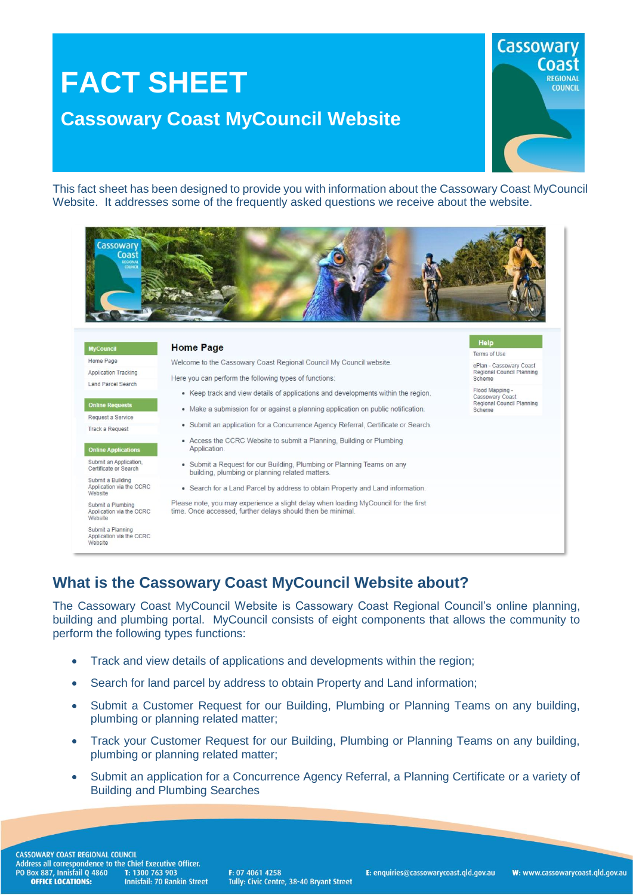# **FACT SHEET Cassowary Coast MyCouncil Website**



Help

Scheme

Terms of Use

ePlan - Cassowary Coast<br>Regional Council Planning<br>Scheme

Flood Mapping -<br>Cassowary Coast<br>Regional Council Planning

This fact sheet has been designed to provide you with information about the Cassowary Coast MyCouncil Website. It addresses some of the frequently asked questions we receive about the website.



| <b>MyCouncil</b>          |
|---------------------------|
| Home Page                 |
| Application Tracking      |
| <b>Land Parcel Search</b> |

Online Requests

Reguest a Service Track o Reguest

#### **Online Applications**

Submit an Application<br>Certificate or Search

Submit a Building<br>Application via the CCRC Website

Submit a Plumbing Application via the CCRC Website <u>sanari aireo</u>

| Submit a Planning        |  |  |
|--------------------------|--|--|
| Application via the CCRC |  |  |
| Website                  |  |  |

Welcome to the Cassowary Coast Regional Council My Council website

**Home Page** 

Here you can perform the following types of functions:

- Keep track and view details of applications and developments within the region.
- Make a submission for or against a planning application on public notification.
- Submit an application for a Concurrence Agency Referral, Certificate or Search
- Access the CCRC Website to submit a Planning, Building or Plumbing Application.
- Submit a Request for our Building, Plumbing or Planning Teams on any building, plumbing or planning related matters.
- Search for a Land Parcel by address to obtain Property and Land information.

Please note, you may experience a slight delay when loading MyCouncil for the first time. Once accessed further delays should then be minimal

## **What is the Cassowary Coast MyCouncil Website about?**

The Cassowary Coast MyCouncil Website is Cassowary Coast Regional Council's online planning, building and plumbing portal. MyCouncil consists of eight components that allows the community to perform the following types functions:

- Track and view details of applications and developments within the region;
- Search for land parcel by address to obtain Property and Land information;
- Submit a Customer Request for our Building, Plumbing or Planning Teams on any building, plumbing or planning related matter;
- Track your Customer Request for our Building, Plumbing or Planning Teams on any building, plumbing or planning related matter;
- Submit an application for a Concurrence Agency Referral, a Planning Certificate or a variety of Building and Plumbing Searches

F: 07 4061 4258 Tully: Civic Centre, 38-40 Bryant Street E: enquiries@cassowarycoast.qld.gov.au

W: www.cassowarvcoast.gld.gov.au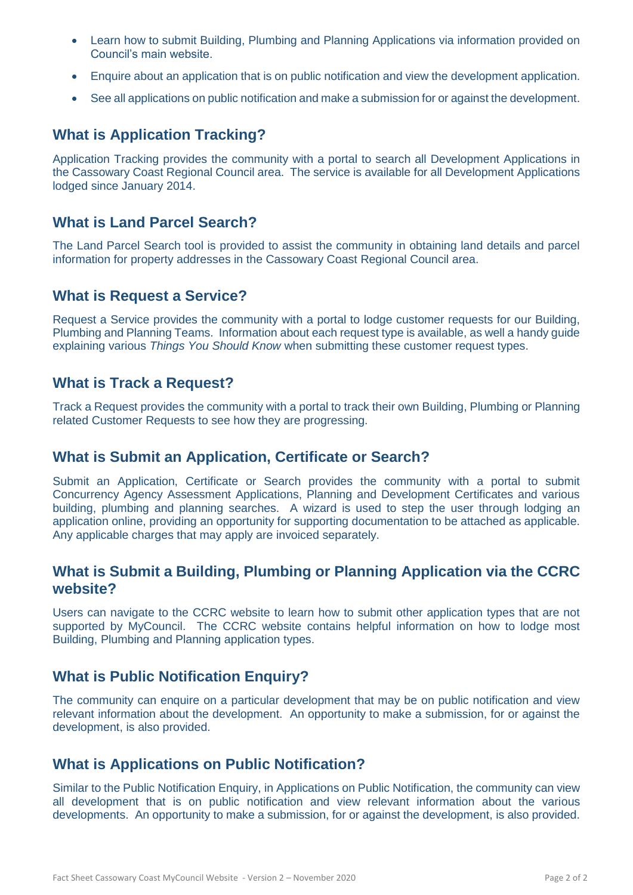- Learn how to submit Building, Plumbing and Planning Applications via information provided on Council's main website.
- Enquire about an application that is on public notification and view the development application.
- See all applications on public notification and make a submission for or against the development.

#### **What is Application Tracking?**

Application Tracking provides the community with a portal to search all Development Applications in the Cassowary Coast Regional Council area. The service is available for all Development Applications lodged since January 2014.

#### **What is Land Parcel Search?**

The Land Parcel Search tool is provided to assist the community in obtaining land details and parcel information for property addresses in the Cassowary Coast Regional Council area.

#### **What is Request a Service?**

Request a Service provides the community with a portal to lodge customer requests for our Building, Plumbing and Planning Teams. Information about each request type is available, as well a handy guide explaining various *Things You Should Know* when submitting these customer request types.

#### **What is Track a Request?**

Track a Request provides the community with a portal to track their own Building, Plumbing or Planning related Customer Requests to see how they are progressing.

#### **What is Submit an Application, Certificate or Search?**

Submit an Application, Certificate or Search provides the community with a portal to submit Concurrency Agency Assessment Applications, Planning and Development Certificates and various building, plumbing and planning searches. A wizard is used to step the user through lodging an application online, providing an opportunity for supporting documentation to be attached as applicable. Any applicable charges that may apply are invoiced separately.

#### **What is Submit a Building, Plumbing or Planning Application via the CCRC website?**

Users can navigate to the CCRC website to learn how to submit other application types that are not supported by MyCouncil. The CCRC website contains helpful information on how to lodge most Building, Plumbing and Planning application types.

#### **What is Public Notification Enquiry?**

The community can enquire on a particular development that may be on public notification and view relevant information about the development. An opportunity to make a submission, for or against the development, is also provided.

#### **What is Applications on Public Notification?**

Similar to the Public Notification Enquiry, in Applications on Public Notification, the community can view all development that is on public notification and view relevant information about the various developments. An opportunity to make a submission, for or against the development, is also provided.